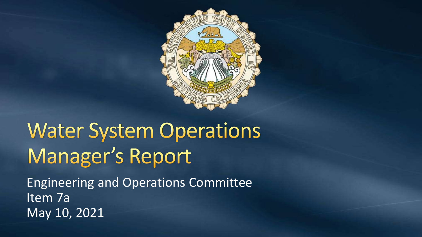

# **Water System Operations** Manager's Report

Engineering and Operations Committee Item 7a May 10, 2021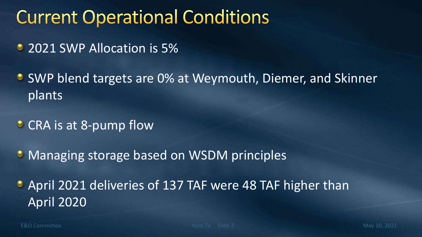# **Current Operational Conditions**

- 2021 SWP Allocation is 5%
- **SWP blend targets are 0% at Weymouth, Diemer, and Skinner** plants
- **CRA** is at 8-pump flow
- **Managing storage based on WSDM principles**

April 2021 deliveries of 137 TAF were 48 TAF higher than April 2020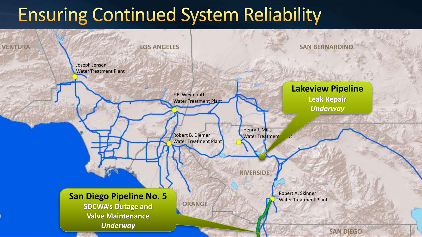# **Ensuring Continued System Reliability**

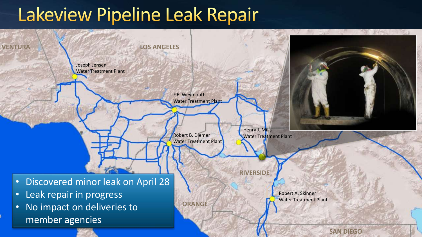### Lakeview Pipeline Leak Repair

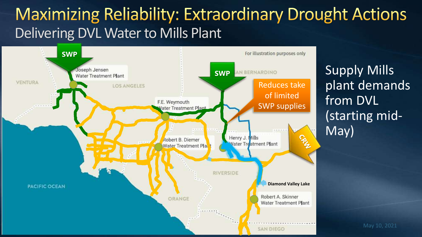#### **Maximizing Reliability: Extraordinary Drought Actions** Delivering DVL Water to Mills Plant



Supply Mills plant demands from DVL (starting mid-May)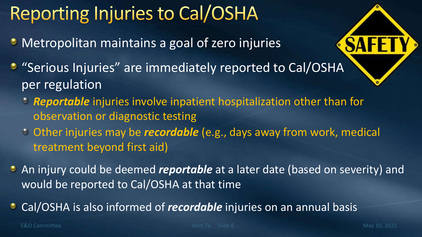# **Reporting Injuries to Cal/OSHA**

- **Metropolitan maintains a goal of zero injuries**
- "Serious Injuries" are immediately reported to Cal/OSHA per regulation
	- *Reportable* injuries involve inpatient hospitalization other than for observation or diagnostic testing
	- Other injuries may be *recordable* (e.g., days away from work, medical treatment beyond first aid)
- An injury could be deemed *reportable* at a later date (based on severity) and would be reported to Cal/OSHA at that time
- Cal/OSHA is also informed of *recordable* injuries on an annual basis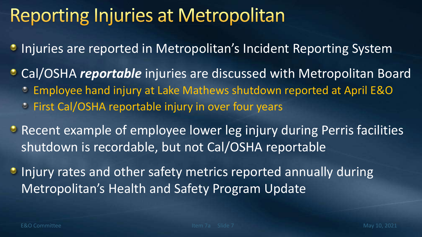### **Reporting Injuries at Metropolitan**

- **Injuries are reported in Metropolitan's Incident Reporting System**
- Cal/OSHA *reportable* injuries are discussed with Metropolitan Board Employee hand injury at Lake Mathews shutdown reported at April E&O
	- **Eirst Cal/OSHA reportable injury in over four years**
- Recent example of employee lower leg injury during Perris facilities shutdown is recordable, but not Cal/OSHA reportable
- **Injury rates and other safety metrics reported annually during** Metropolitan's Health and Safety Program Update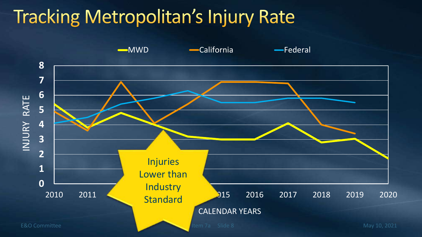# **Tracking Metropolitan's Injury Rate**